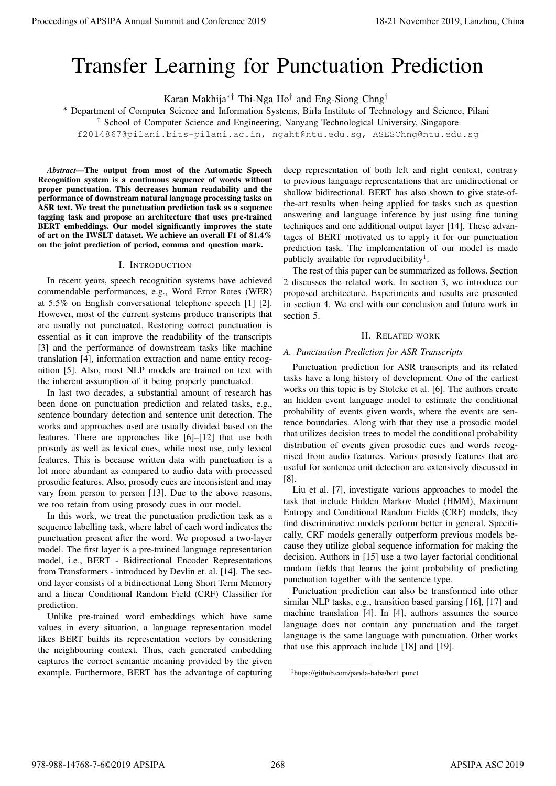# Transfer Learning for Punctuation Prediction

Karan Makhija∗† Thi-Nga Ho† and Eng-Siong Chng†

<sup>∗</sup> Department of Computer Science and Information Systems, Birla Institute of Technology and Science, Pilani

† School of Computer Science and Engineering, Nanyang Technological University, Singapore

f2014867@pilani.bits-pilani.ac.in, ngaht@ntu.edu.sg, ASESChng@ntu.edu.sg

*Abstract*—The output from most of the Automatic Speech Recognition system is a continuous sequence of words without proper punctuation. This decreases human readability and the performance of downstream natural language processing tasks on ASR text. We treat the punctuation prediction task as a sequence tagging task and propose an architecture that uses pre-trained BERT embeddings. Our model significantly improves the state of art on the IWSLT dataset. We achieve an overall F1 of 81.4% on the joint prediction of period, comma and question mark.

### I. INTRODUCTION

In recent years, speech recognition systems have achieved commendable performances, e.g., Word Error Rates (WER) at 5.5% on English conversational telephone speech [1] [2]. However, most of the current systems produce transcripts that are usually not punctuated. Restoring correct punctuation is essential as it can improve the readability of the transcripts [3] and the performance of downstream tasks like machine translation [4], information extraction and name entity recognition [5]. Also, most NLP models are trained on text with the inherent assumption of it being properly punctuated.

In last two decades, a substantial amount of research has been done on punctuation prediction and related tasks, e.g., sentence boundary detection and sentence unit detection. The works and approaches used are usually divided based on the features. There are approaches like [6]–[12] that use both prosody as well as lexical cues, while most use, only lexical features. This is because written data with punctuation is a lot more abundant as compared to audio data with processed prosodic features. Also, prosody cues are inconsistent and may vary from person to person [13]. Due to the above reasons, we too retain from using prosody cues in our model.

In this work, we treat the punctuation prediction task as a sequence labelling task, where label of each word indicates the punctuation present after the word. We proposed a two-layer model. The first layer is a pre-trained language representation model, i.e., BERT - Bidirectional Encoder Representations from Transformers - introduced by Devlin et. al. [14]. The second layer consists of a bidirectional Long Short Term Memory and a linear Conditional Random Field (CRF) Classifier for prediction.

Unlike pre-trained word embeddings which have same values in every situation, a language representation model likes BERT builds its representation vectors by considering the neighbouring context. Thus, each generated embedding captures the correct semantic meaning provided by the given example. Furthermore, BERT has the advantage of capturing deep representation of both left and right context, contrary to previous language representations that are unidirectional or shallow bidirectional. BERT has also shown to give state-ofthe-art results when being applied for tasks such as question answering and language inference by just using fine tuning techniques and one additional output layer [14]. These advantages of BERT motivated us to apply it for our punctuation prediction task. The implementation of our model is made publicly available for reproducibility<sup>1</sup>.

The rest of this paper can be summarized as follows. Section 2 discusses the related work. In section 3, we introduce our proposed architecture. Experiments and results are presented in section 4. We end with our conclusion and future work in section 5.

#### II. RELATED WORK

### *A. Punctuation Prediction for ASR Transcripts*

Punctuation prediction for ASR transcripts and its related tasks have a long history of development. One of the earliest works on this topic is by Stolcke et al. [6]. The authors create an hidden event language model to estimate the conditional probability of events given words, where the events are sentence boundaries. Along with that they use a prosodic model that utilizes decision trees to model the conditional probability distribution of events given prosodic cues and words recognised from audio features. Various prosody features that are useful for sentence unit detection are extensively discussed in [8]. Proceedings of APSIPA Annual Summit and Conference 2019<br>
Transfer Learning for Punctertain in the same of the same of the same of the same of the same of the same of the same of the same of the same of the same of the sam

Liu et al. [7], investigate various approaches to model the task that include Hidden Markov Model (HMM), Maximum Entropy and Conditional Random Fields (CRF) models, they find discriminative models perform better in general. Specifically, CRF models generally outperform previous models because they utilize global sequence information for making the decision. Authors in [15] use a two layer factorial conditional random fields that learns the joint probability of predicting punctuation together with the sentence type.

Punctuation prediction can also be transformed into other similar NLP tasks, e.g., transition based parsing [16], [17] and machine translation [4]. In [4], authors assumes the source language does not contain any punctuation and the target language is the same language with punctuation. Other works that use this approach include [18] and [19].

<sup>&</sup>lt;sup>1</sup>https://github.com/panda-baba/bert\_punct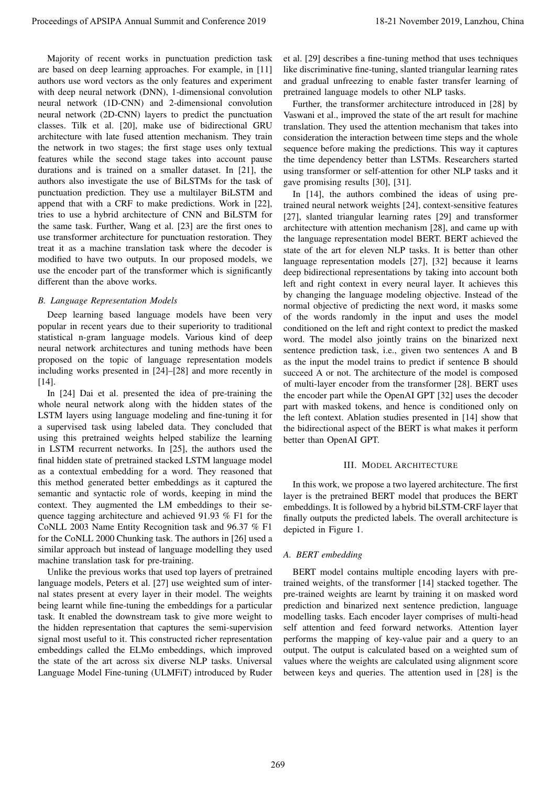Majority of recent works in punctuation prediction task are based on deep learning approaches. For example, in [11] authors use word vectors as the only features and experiment with deep neural network (DNN), 1-dimensional convolution neural network (1D-CNN) and 2-dimensional convolution neural network (2D-CNN) layers to predict the punctuation classes. Tilk et al. [20], make use of bidirectional GRU architecture with late fused attention mechanism. They train the network in two stages; the first stage uses only textual features while the second stage takes into account pause durations and is trained on a smaller dataset. In [21], the authors also investigate the use of BiLSTMs for the task of punctuation prediction. They use a multilayer BiLSTM and append that with a CRF to make predictions. Work in [22], tries to use a hybrid architecture of CNN and BiLSTM for the same task. Further, Wang et al. [23] are the first ones to use transformer architecture for punctuation restoration. They treat it as a machine translation task where the decoder is modified to have two outputs. In our proposed models, we use the encoder part of the transformer which is significantly different than the above works.

## *B. Language Representation Models*

Deep learning based language models have been very popular in recent years due to their superiority to traditional statistical n-gram language models. Various kind of deep neural network architectures and tuning methods have been proposed on the topic of language representation models including works presented in [24]–[28] and more recently in [14].

In [24] Dai et al. presented the idea of pre-training the whole neural network along with the hidden states of the LSTM layers using language modeling and fine-tuning it for a supervised task using labeled data. They concluded that using this pretrained weights helped stabilize the learning in LSTM recurrent networks. In [25], the authors used the final hidden state of pretrained stacked LSTM language model as a contextual embedding for a word. They reasoned that this method generated better embeddings as it captured the semantic and syntactic role of words, keeping in mind the context. They augmented the LM embeddings to their sequence tagging architecture and achieved 91.93 % F1 for the CoNLL 2003 Name Entity Recognition task and 96.37 % F1 for the CoNLL 2000 Chunking task. The authors in [26] used a similar approach but instead of language modelling they used machine translation task for pre-training.

Unlike the previous works that used top layers of pretrained language models, Peters et al. [27] use weighted sum of internal states present at every layer in their model. The weights being learnt while fine-tuning the embeddings for a particular task. It enabled the downstream task to give more weight to the hidden representation that captures the semi-supervision signal most useful to it. This constructed richer representation embeddings called the ELMo embeddings, which improved the state of the art across six diverse NLP tasks. Universal Language Model Fine-tuning (ULMFiT) introduced by Ruder

et al. [29] describes a fine-tuning method that uses techniques like discriminative fine-tuning, slanted triangular learning rates and gradual unfreezing to enable faster transfer learning of pretrained language models to other NLP tasks.

Further, the transformer architecture introduced in [28] by Vaswani et al., improved the state of the art result for machine translation. They used the attention mechanism that takes into consideration the interaction between time steps and the whole sequence before making the predictions. This way it captures the time dependency better than LSTMs. Researchers started using transformer or self-attention for other NLP tasks and it gave promising results [30], [31].

In [14], the authors combined the ideas of using pretrained neural network weights [24], context-sensitive features [27], slanted triangular learning rates [29] and transformer architecture with attention mechanism [28], and came up with the language representation model BERT. BERT achieved the state of the art for eleven NLP tasks. It is better than other language representation models [27], [32] because it learns deep bidirectional representations by taking into account both left and right context in every neural layer. It achieves this by changing the language modeling objective. Instead of the normal objective of predicting the next word, it masks some of the words randomly in the input and uses the model conditioned on the left and right context to predict the masked word. The model also jointly trains on the binarized next sentence prediction task, i.e., given two sentences A and B as the input the model trains to predict if sentence B should succeed A or not. The architecture of the model is composed of multi-layer encoder from the transformer [28]. BERT uses the encoder part while the OpenAI GPT [32] uses the decoder part with masked tokens, and hence is conditioned only on the left context. Ablation studies presented in [14] show that the bidirectional aspect of the BERT is what makes it perform better than OpenAI GPT. Proceedings of APSIPA Annual Summit and Conference 2019<br>
Market and Conference 2019 11 November 2019<br>
Market and Conference 2019 11 November 2019 12 November 2019 12 November 2019 22 November 2019 22 November 2019 23 Nove

## III. MODEL ARCHITECTURE

In this work, we propose a two layered architecture. The first layer is the pretrained BERT model that produces the BERT embeddings. It is followed by a hybrid biLSTM-CRF layer that finally outputs the predicted labels. The overall architecture is depicted in Figure 1.

## *A. BERT embedding*

BERT model contains multiple encoding layers with pretrained weights, of the transformer [14] stacked together. The pre-trained weights are learnt by training it on masked word prediction and binarized next sentence prediction, language modelling tasks. Each encoder layer comprises of multi-head self attention and feed forward networks. Attention layer performs the mapping of key-value pair and a query to an output. The output is calculated based on a weighted sum of values where the weights are calculated using alignment score between keys and queries. The attention used in [28] is the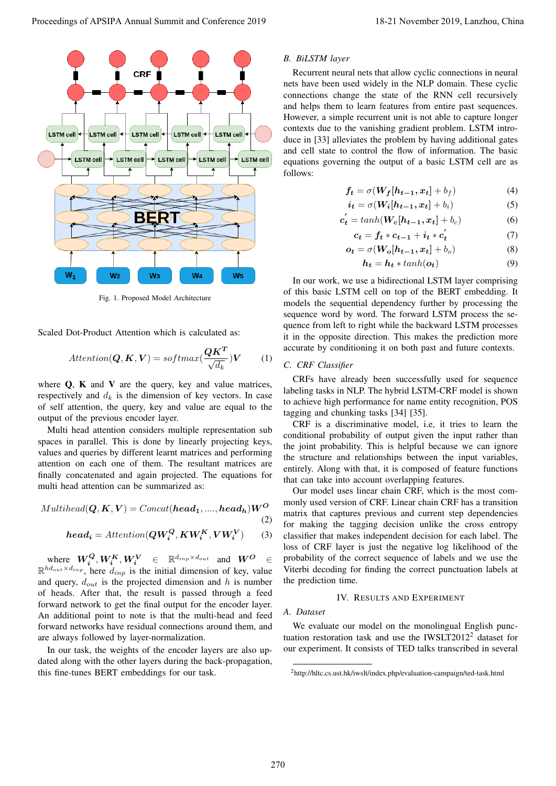

Fig. 1. Proposed Model Architecture

Scaled Dot-Product Attention which is calculated as:

$$
Attention(Q, K, V) = softmax(\frac{QK^{T}}{\sqrt{d_k}})V
$$
 (1)

where  $Q$ ,  $K$  and  $V$  are the query, key and value matrices, respectively and  $d_k$  is the dimension of key vectors. In case of self attention, the query, key and value are equal to the output of the previous encoder layer.

Multi head attention considers multiple representation sub spaces in parallel. This is done by linearly projecting keys, values and queries by different learnt matrices and performing attention on each one of them. The resultant matrices are finally concatenated and again projected. The equations for multi head attention can be summarized as:

$$
\mathit{Multihead}(Q, K, V) = \mathit{Concat}(\mathit{head}_1, ...., \mathit{head}_h)W^O
$$

$$
head_i =Attention(QW_i^Q, KW_i^K, VW_i^V) \qquad (3)
$$

where  $W_i^Q, W_i^K, W_i^V \in \mathbb{R}^{d_{inp} \times d_{out}}$  and  $W^O \in$  $\mathbb{R}^{hd_{out} \times d_{inp}}$ , here  $d_{inp}$  is the initial dimension of key, value and query,  $d_{out}$  is the projected dimension and h is number of heads. After that, the result is passed through a feed forward network to get the final output for the encoder layer. An additional point to note is that the multi-head and feed forward networks have residual connections around them, and are always followed by layer-normalization.

In our task, the weights of the encoder layers are also updated along with the other layers during the back-propagation, this fine-tunes BERT embeddings for our task.

#### *B. BiLSTM layer*

Recurrent neural nets that allow cyclic connections in neural nets have been used widely in the NLP domain. These cyclic connections change the state of the RNN cell recursively and helps them to learn features from entire past sequences. However, a simple recurrent unit is not able to capture longer contexts due to the vanishing gradient problem. LSTM introduce in [33] alleviates the problem by having additional gates and cell state to control the flow of information. The basic equations governing the output of a basic LSTM cell are as follows:

$$
f_t = \sigma(W_f[h_{t-1}, x_t] + b_f)
$$
 (4)

$$
\boldsymbol{i_t} = \sigma(\boldsymbol{W_i}[h_{t-1}, \boldsymbol{x_t}] + b_i) \tag{5}
$$

$$
\mathbf{c}'_t = \tanh(\mathbf{W_c}[h_{t-1}, x_t] + b_c) \tag{6}
$$

$$
c_t = f_t * c_{t-1} + i_t * c_t' \tag{7}
$$

$$
o_t = \sigma(W_o[h_{t-1}, x_t] + b_o)
$$
 (8)

$$
h_t = h_t * tanh(o_t)
$$
 (9)

In our work, we use a bidirectional LSTM layer comprising of this basic LSTM cell on top of the BERT embedding. It models the sequential dependency further by processing the sequence word by word. The forward LSTM process the sequence from left to right while the backward LSTM processes it in the opposite direction. This makes the prediction more accurate by conditioning it on both past and future contexts.

## *C. CRF Classifier*

CRFs have already been successfully used for sequence labeling tasks in NLP. The hybrid LSTM-CRF model is shown to achieve high performance for name entity recognition, POS tagging and chunking tasks [34] [35].

CRF is a discriminative model, i.e, it tries to learn the conditional probability of output given the input rather than the joint probability. This is helpful because we can ignore the structure and relationships between the input variables, entirely. Along with that, it is composed of feature functions that can take into account overlapping features.

Our model uses linear chain CRF, which is the most commonly used version of CRF. Linear chain CRF has a transition matrix that captures previous and current step dependencies for making the tagging decision unlike the cross entropy classifier that makes independent decision for each label. The loss of CRF layer is just the negative log likelihood of the probability of the correct sequence of labels and we use the Viterbi decoding for finding the correct punctuation labels at the prediction time.

#### IV. RESULTS AND EXPERIMENT

#### *A. Dataset*

(2)

We evaluate our model on the monolingual English punctuation restoration task and use the IWSLT2012<sup>2</sup> dataset for our experiment. It consists of TED talks transcribed in several

<sup>2</sup>http://hltc.cs.ust.hk/iwslt/index.php/evaluation-campaign/ted-task.html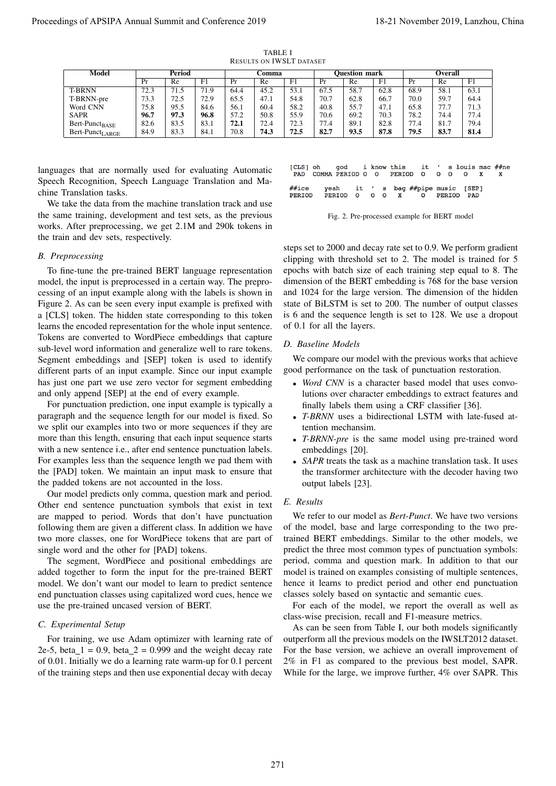| Model                | Period |      |             | <b>⊃omma</b> |      |      | <b>Ouestion mark</b> |      |      | <b>Overall</b> |      |      |
|----------------------|--------|------|-------------|--------------|------|------|----------------------|------|------|----------------|------|------|
|                      | Pr     | Re   | $_{\rm F1}$ | Pr           | Re   | F1   | Pr                   | Re   | F1   | Pr             | Re   | F1   |
| <b>T-BRNN</b>        | 72.3   | 71.5 | 71.9        | 64.4         | 45.2 | 53.1 | 67.5                 | 58.7 | 62.8 | 68.9           | 58.1 | 63.1 |
| T-BRNN-pre           | 73.3   | 72.5 | 72.9        | 65.5         | 47.1 | 54.8 | 70.7                 | 62.8 | 66.7 | 70.0           | 59.7 | 64.4 |
| Word CNN             | 75.8   | 95.5 | 84.6        | 56.1         | 60.4 | 58.2 | 40.8                 | 55.7 | 47.1 | 65.8           | 77.7 | 71.3 |
| <b>SAPR</b>          | 96.7   | 97.3 | 96.8        | 57.2         | 50.8 | 55.9 | 70.6                 | 69.2 | 70.3 | 78.2           | 74.4 | 77.4 |
| $Bert-Punct_{BASE}$  | 82.6   | 83.5 | 83.1        | 72.1         | 72.4 | 72.3 | 77.4                 | 89.1 | 82.8 | 77.4           | 81.7 | 79.4 |
| $Bert-Punct_{LARGE}$ | 84.9   | 83.3 | 84.1        | 70.8         | 74.3 | 72.5 | 82.7                 | 93.5 | 87.8 | 79.5           | 83.7 | 81.4 |

TABLE I RESULTS ON IWSLT DATASET

languages that are normally used for evaluating Automatic Speech Recognition, Speech Language Translation and Machine Translation tasks.

We take the data from the machine translation track and use the same training, development and test sets, as the previous works. After preprocessing, we get 2.1M and 290k tokens in the train and dev sets, respectively.

#### *B. Preprocessing*

To fine-tune the pre-trained BERT language representation model, the input is preprocessed in a certain way. The preprocessing of an input example along with the labels is shown in Figure 2. As can be seen every input example is prefixed with a [CLS] token. The hidden state corresponding to this token learns the encoded representation for the whole input sentence. Tokens are converted to WordPiece embeddings that capture sub-level word information and generalize well to rare tokens. Segment embeddings and [SEP] token is used to identify different parts of an input example. Since our input example has just one part we use zero vector for segment embedding and only append [SEP] at the end of every example. Proceedings of APSIPA Annual Summit and Conference 2019 19. The summit and conference 2019 in the summit and conference 2019 in the summit and conference 2019 in the summit and conference 2019 in the summit and conference

For punctuation prediction, one input example is typically a paragraph and the sequence length for our model is fixed. So we split our examples into two or more sequences if they are more than this length, ensuring that each input sequence starts with a new sentence i.e., after end sentence punctuation labels. For examples less than the sequence length we pad them with the [PAD] token. We maintain an input mask to ensure that the padded tokens are not accounted in the loss.

Our model predicts only comma, question mark and period. Other end sentence punctuation symbols that exist in text are mapped to period. Words that don't have punctuation following them are given a different class. In addition we have two more classes, one for WordPiece tokens that are part of single word and the other for [PAD] tokens.

The segment, WordPiece and positional embeddings are added together to form the input for the pre-trained BERT model. We don't want our model to learn to predict sentence end punctuation classes using capitalized word cues, hence we use the pre-trained uncased version of BERT.

## *C. Experimental Setup*

For training, we use Adam optimizer with learning rate of 2e-5, beta  $1 = 0.9$ , beta  $2 = 0.999$  and the weight decay rate of 0.01. Initially we do a learning rate warm-up for 0.1 percent of the training steps and then use exponential decay with decay

|       | [CLS] oh god i know this it ' s louis mac ##ne<br>PAD COMMA PERIOD O O PERIOD O O O O |  |  |                                   |  |  |  |  |
|-------|---------------------------------------------------------------------------------------|--|--|-----------------------------------|--|--|--|--|
| ##ice | PERIOD PERIOD O O O X O PERIOD PAD                                                    |  |  | yeah it 's bag ##pipe music [SEP] |  |  |  |  |



steps set to 2000 and decay rate set to 0.9. We perform gradient clipping with threshold set to 2. The model is trained for 5 epochs with batch size of each training step equal to 8. The dimension of the BERT embedding is 768 for the base version and 1024 for the large version. The dimension of the hidden state of BiLSTM is set to 200. The number of output classes is 6 and the sequence length is set to 128. We use a dropout of 0.1 for all the layers.

#### *D. Baseline Models*

We compare our model with the previous works that achieve good performance on the task of punctuation restoration.

- *Word CNN* is a character based model that uses convolutions over character embeddings to extract features and finally labels them using a CRF classifier [36].
- *T-BRNN* uses a bidirectional LSTM with late-fused attention mechansim.
- *T-BRNN-pre* is the same model using pre-trained word embeddings [20].
- *SAPR* treats the task as a machine translation task. It uses the transformer architecture with the decoder having two output labels [23].

## *E. Results*

We refer to our model as *Bert-Punct*. We have two versions of the model, base and large corresponding to the two pretrained BERT embeddings. Similar to the other models, we predict the three most common types of punctuation symbols: period, comma and question mark. In addition to that our model is trained on examples consisting of multiple sentences, hence it learns to predict period and other end punctuation classes solely based on syntactic and semantic cues.

For each of the model, we report the overall as well as class-wise precision, recall and F1-measure metrics.

As can be seen from Table I, our both models significantly outperform all the previous models on the IWSLT2012 dataset. For the base version, we achieve an overall improvement of 2% in F1 as compared to the previous best model, SAPR. While for the large, we improve further, 4% over SAPR. This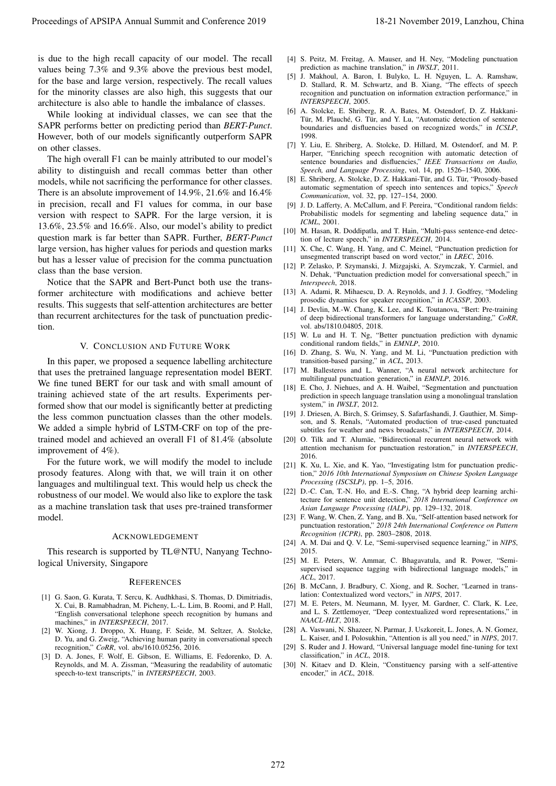is due to the high recall capacity of our model. The recall values being 7.3% and 9.3% above the previous best model, for the base and large version, respectively. The recall values for the minority classes are also high, this suggests that our architecture is also able to handle the imbalance of classes.

While looking at individual classes, we can see that the SAPR performs better on predicting period than *BERT-Punct*. However, both of our models significantly outperform SAPR on other classes.

The high overall F1 can be mainly attributed to our model's ability to distinguish and recall commas better than other models, while not sacrificing the performance for other classes. There is an absolute improvement of 14.9%, 21.6% and 16.4% in precision, recall and F1 values for comma, in our base version with respect to SAPR. For the large version, it is 13.6%, 23.5% and 16.6%. Also, our model's ability to predict question mark is far better than SAPR. Further, *BERT-Punct* large version, has higher values for periods and question marks but has a lesser value of precision for the comma punctuation class than the base version. Proceedings of APSIPA Annual Summit and Conference 2019<br>
in the second of the second of the second of the second of the second of the second of the second of the second of the second of the second of the second of the sec

Notice that the SAPR and Bert-Punct both use the transformer architecture with modifications and achieve better results. This suggests that self-attention architectures are better than recurrent architectures for the task of punctuation prediction.

#### V. CONCLUSION AND FUTURE WORK

In this paper, we proposed a sequence labelling architecture that uses the pretrained language representation model BERT. We fine tuned BERT for our task and with small amount of training achieved state of the art results. Experiments performed show that our model is significantly better at predicting the less common punctuation classes than the other models. We added a simple hybrid of LSTM-CRF on top of the pretrained model and achieved an overall F1 of 81.4% (absolute improvement of 4%).

For the future work, we will modify the model to include prosody features. Along with that, we will train it on other languages and multilingual text. This would help us check the robustness of our model. We would also like to explore the task as a machine translation task that uses pre-trained transformer model.

#### ACKNOWLEDGEMENT

This research is supported by TL@NTU, Nanyang Technological University, Singapore

#### **REFERENCES**

- [1] G. Saon, G. Kurata, T. Sercu, K. Audhkhasi, S. Thomas, D. Dimitriadis, X. Cui, B. Ramabhadran, M. Picheny, L.-L. Lim, B. Roomi, and P. Hall, "English conversational telephone speech recognition by humans and machines," in *INTERSPEECH*, 2017.
- [2] W. Xiong, J. Droppo, X. Huang, F. Seide, M. Seltzer, A. Stolcke, D. Yu, and G. Zweig, "Achieving human parity in conversational speech recognition," *CoRR*, vol. abs/1610.05256, 2016.
- [3] D. A. Jones, F. Wolf, E. Gibson, E. Williams, E. Fedorenko, D. A. Reynolds, and M. A. Zissman, "Measuring the readability of automatic speech-to-text transcripts," in *INTERSPEECH*, 2003.
- [4] S. Peitz, M. Freitag, A. Mauser, and H. Ney, "Modeling punctuation prediction as machine translation," in *IWSLT*, 2011.
- [5] J. Makhoul, A. Baron, I. Bulyko, L. H. Nguyen, L. A. Ramshaw, D. Stallard, R. M. Schwartz, and B. Xiang, "The effects of speech recognition and punctuation on information extraction performance," in *INTERSPEECH*, 2005.
- [6] A. Stolcke, E. Shriberg, R. A. Bates, M. Ostendorf, D. Z. Hakkani-Tür, M. Plauché, G. Tür, and Y. Lu, "Automatic detection of sentence boundaries and disfluencies based on recognized words," in *ICSLP*, 1998.
- [7] Y. Liu, E. Shriberg, A. Stolcke, D. Hillard, M. Ostendorf, and M. P. Harper, "Enriching speech recognition with automatic detection of sentence boundaries and disfluencies," *IEEE Transactions on Audio, Speech, and Language Processing*, vol. 14, pp. 1526–1540, 2006.
- [8] E. Shriberg, A. Stolcke, D. Z. Hakkani-Tür, and G. Tür, "Prosody-based automatic segmentation of speech into sentences and topics," *Speech Communication*, vol. 32, pp. 127–154, 2000.
- [9] J. D. Lafferty, A. McCallum, and F. Pereira, "Conditional random fields: Probabilistic models for segmenting and labeling sequence data," in *ICML*, 2001.
- [10] M. Hasan, R. Doddipatla, and T. Hain, "Multi-pass sentence-end detection of lecture speech," in *INTERSPEECH*, 2014.
- [11] X. Che, C. Wang, H. Yang, and C. Meinel, "Punctuation prediction for unsegmented transcript based on word vector," in *LREC*, 2016.
- [12] P. Zelasko, P. Szymanski, J. Mizgajski, A. Szymczak, Y. Carmiel, and N. Dehak, "Punctuation prediction model for conversational speech," in *Interspeech*, 2018.
- [13] A. Adami, R. Mihaescu, D. A. Reynolds, and J. J. Godfrey, "Modeling prosodic dynamics for speaker recognition," in *ICASSP*, 2003.
- [14] J. Devlin, M.-W. Chang, K. Lee, and K. Toutanova, "Bert: Pre-training of deep bidirectional transformers for language understanding," *CoRR*, vol. abs/1810.04805, 2018.
- [15] W. Lu and H. T. Ng, "Better punctuation prediction with dynamic conditional random fields," in *EMNLP*, 2010.
- [16] D. Zhang, S. Wu, N. Yang, and M. Li, "Punctuation prediction with transition-based parsing," in *ACL*, 2013.
- [17] M. Ballesteros and L. Wanner, "A neural network architecture for multilingual punctuation generation," in *EMNLP*, 2016.
- [18] E. Cho, J. Niehues, and A. H. Waibel, "Segmentation and punctuation prediction in speech language translation using a monolingual translation system," in *IWSLT*, 2012.
- [19] J. Driesen, A. Birch, S. Grimsey, S. Safarfashandi, J. Gauthier, M. Simpson, and S. Renals, "Automated production of true-cased punctuated subtitles for weather and news broadcasts," in *INTERSPEECH*, 2014.
- [20] O. Tilk and T. Alumäe, "Bidirectional recurrent neural network with attention mechanism for punctuation restoration," in *INTERSPEECH*, 2016.
- [21] K. Xu, L. Xie, and K. Yao, "Investigating lstm for punctuation prediction," *2016 10th International Symposium on Chinese Spoken Language Processing (ISCSLP)*, pp. 1–5, 2016.
- [22] D.-C. Can, T.-N. Ho, and E.-S. Chng, "A hybrid deep learning architecture for sentence unit detection," *2018 International Conference on Asian Language Processing (IALP)*, pp. 129–132, 2018.
- [23] F. Wang, W. Chen, Z. Yang, and B. Xu, "Self-attention based network for punctuation restoration," *2018 24th International Conference on Pattern Recognition (ICPR)*, pp. 2803–2808, 2018.
- [24] A. M. Dai and Q. V. Le, "Semi-supervised sequence learning," in *NIPS*, 2015.
- [25] M. E. Peters, W. Ammar, C. Bhagavatula, and R. Power, "Semisupervised sequence tagging with bidirectional language models," in *ACL*, 2017.
- [26] B. McCann, J. Bradbury, C. Xiong, and R. Socher, "Learned in translation: Contextualized word vectors," in *NIPS*, 2017.
- [27] M. E. Peters, M. Neumann, M. Iyyer, M. Gardner, C. Clark, K. Lee, and L. S. Zettlemoyer, "Deep contextualized word representations," in *NAACL-HLT*, 2018.
- [28] A. Vaswani, N. Shazeer, N. Parmar, J. Uszkoreit, L. Jones, A. N. Gomez, L. Kaiser, and I. Polosukhin, "Attention is all you need," in *NIPS*, 2017.
- [29] S. Ruder and J. Howard, "Universal language model fine-tuning for text classification," in *ACL*, 2018.
- [30] N. Kitaev and D. Klein, "Constituency parsing with a self-attentive encoder," in *ACL*, 2018.